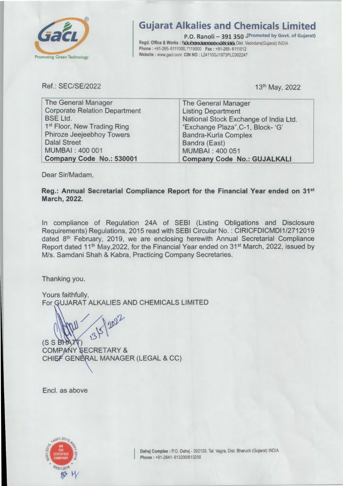

## **Gujarat Alkalies and Chemicals Limited**

P.O. Ranoli - 391 350 IPromoted by Govt. of Gujarat) Regd. Office & Works: BOXXXXXXXXXXXXXXXXXXXXXXX Dist. Vadodara(Gujarat) INDIA Phone: +91-265-6111000, 7119000 Fax: +91-265-6111012 Website: www.gacl.com CIN NO: L24110GJ1973PLC002247

Ref.: SEC/SE/2022

13th May, 2022

| <b>The General Manager</b>              | The General Manager                   |
|-----------------------------------------|---------------------------------------|
| <b>Corporate Relation Department</b>    | <b>Listing Department</b>             |
| <b>BSE Ltd.</b>                         | National Stock Exchange of India Ltd. |
| 1 <sup>st</sup> Floor, New Trading Ring | "Exchange Plaza", C-1, Block- 'G'     |
| Phiroze Jeejeebhoy Towers               | <b>Bandra-Kurla Complex</b>           |
| <b>Dalal Street</b>                     | Bandra (East)                         |
| MUMBAI: 400 001                         | <b>MUMBAI: 400 051</b>                |
| Company Code No.: 530001                | <b>Company Code No.: GUJALKALI</b>    |

Dear Sir/Madam,

Reg.: Annual Secretarial Compliance Report for the Financial Year ended on 31<sup>st</sup> **March, 2022.** 

In compliance of Regulation 24A of SEBI (Listing Obligations and Disclosure Requirements) Regulations, 2015 read with SEBI Circular No.: CIRICFDICMDI1/2712019 dated 8<sup>th</sup> February, 2019, we are enclosing herewith Annual Secretarial Compliance Report dated 11<sup>th</sup> May, 2022, for the Financial Year ended on 31<sup>st</sup> March, 2022, issued by M/s. Samdani Shah & Kabra, Practicing Company Secretaries.

Thanking you,

Yours faithfully, For GUJARAT ALKALIES AND CHEMICALS LIMITED

(S S BHAT COMPANY SECRETARY & CHIEF GENERAL MANAGER (LEGAL & CC)

Encl. as above

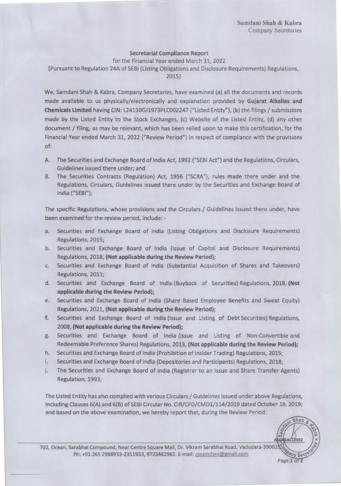## Secretarial Compliance Report

for the Financial Year ended March 31, 2022

[Pursuant to Regulation 24A of SEBI (Listing Obligations and Disclosure Requirements) Regulations,

2015]

We, Sarndani Shah & Kabra, Company Secretaries, have examined (a) all the documents and records made available to us physically/electronically and explanation provided by Gujarat Alkalies and Chemicals Limited having CIN: L24110GJ1973PLC002247 ("Listed Entity"), (b) the filings / submissions made by the Listed Entity to the Stock Exchanges, (c) Website of the Listed Entity, (d) any other document / filing, as may be relevant, which has been relied upon to make this certification, for the Financial Year ended March 31, 2022 ("Review Period") in respect of compliance with the provisions of:

- A. The Securities and Exchange Board of India Act, 1992 ("SEBI Act") and the Regulations, Circulars, Guidelines issued there under; and
- B. The Securities Contracts (Regulation) Act, 1956 ("SCRA"), rules made there under and the Regulations, Circulars, Guidelines issued there under by the Securities and Exchange Board of India ("SEBI");

The specific Regulations, whose provisions and the Circulars / Guidelines issued there under, have been examined for the review period, include: -

- a. Securities and Exchange Board of India (Listing Obligations and Disclosure Requirements) Regulations, 2015;
- b. Securities and Exchange Board of India (Issue of Capital and Disclosure Requirements) Regulations, 2018, (Not applicable during the Review Period);
- c. Securities and Exchange Board of India (Substantial Acquisition of Shares and Takeovers) Regulations, 2011;
- d. Securities and Exchange Board of India (Buyback of Securities) Regulations, 2018, (Not applicable during the Review Period);
- e. Securities and Exchange Board of India (Share Based Employee Benefits and Sweat Equity) Regulations, 2021, (Not applicable during the Review Period);
- f. Securities and Exchange Board of India (Issue and Listing of Debt Securities) Regulations, 2008, (Not applicable during the Review Period);
- Securities and Exchange Board of India (Issue and Listing of Non-Convertible and Redeemable Preference Shares) Regulations, 2013, (Not applicable during the Review Period); g.
- h. Securities and Exchange Board of India (Prohibition of Insider Trading) Regulations, 2015;
- i, Securities and Exchange Board of India (Depositories and Participants) Regulations, 2018;
- j. The Securities and Exchange Board of India (Registrar to an Issue and Share Transfer Agents) Regulation, 1993;

The Listed Entity has also complied with various Circulars / Guidelines issued under above Regulations, including Clauses 6(A) and 6(B) of SEBI Circular No. CIR/CFD/CMD1/114/2019 dated October 18, 2019; and based on the above examination, we hereby report that, during the Review Period:

702, Ocean, Sarabhai Compound, Near Centre Square Mall, Dr. Vikram Sarabhai Road, Vadodara-3900235 Ph: +91 265 2988933-2311933, 9723462962. E-mail: cssamdani@gmaiLcorn **Ompany**   $\frac{1}{2}$ .

**CALLES** 

Shah